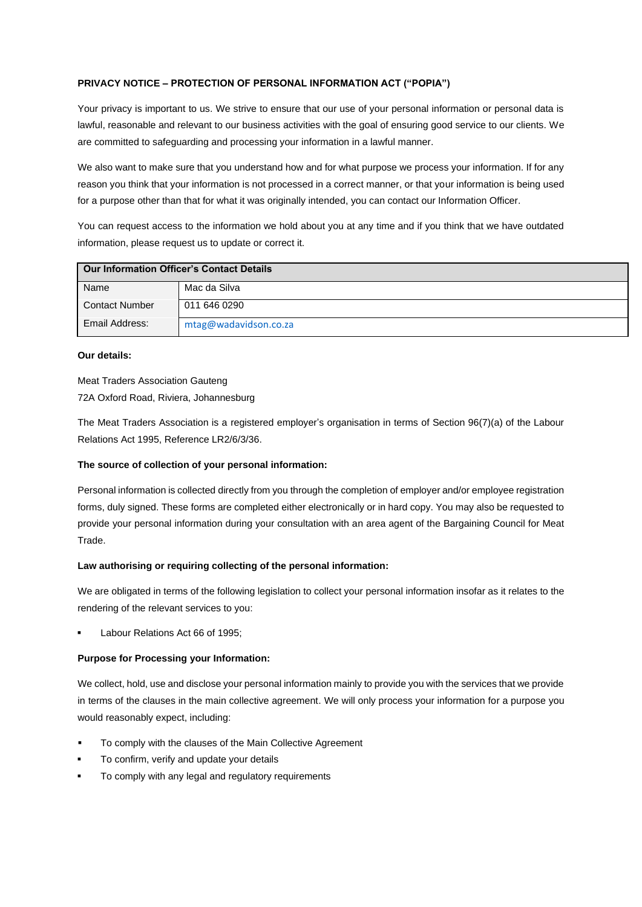# **PRIVACY NOTICE – PROTECTION OF PERSONAL INFORMATION ACT ("POPIA")**

Your privacy is important to us. We strive to ensure that our use of your personal information or personal data is lawful, reasonable and relevant to our business activities with the goal of ensuring good service to our clients. We are committed to safeguarding and processing your information in a lawful manner.

We also want to make sure that you understand how and for what purpose we process your information. If for any reason you think that your information is not processed in a correct manner, or that your information is being used for a purpose other than that for what it was originally intended, you can contact our Information Officer.

You can request access to the information we hold about you at any time and if you think that we have outdated information, please request us to update or correct it.

| <b>Our Information Officer's Contact Details</b> |                       |
|--------------------------------------------------|-----------------------|
| Name                                             | Mac da Silva          |
| <b>Contact Number</b>                            | 011 646 0290          |
| Email Address:                                   | mtag@wadavidson.co.za |

## **Our details:**

Meat Traders Association Gauteng 72A Oxford Road, Riviera, Johannesburg

The Meat Traders Association is a registered employer's organisation in terms of Section 96(7)(a) of the Labour Relations Act 1995, Reference LR2/6/3/36.

## **The source of collection of your personal information:**

Personal information is collected directly from you through the completion of employer and/or employee registration forms, duly signed. These forms are completed either electronically or in hard copy. You may also be requested to provide your personal information during your consultation with an area agent of the Bargaining Council for Meat Trade.

## **Law authorising or requiring collecting of the personal information:**

We are obligated in terms of the following legislation to collect your personal information insofar as it relates to the rendering of the relevant services to you:

Labour Relations Act 66 of 1995:

## **Purpose for Processing your Information:**

We collect, hold, use and disclose your personal information mainly to provide you with the services that we provide in terms of the clauses in the main collective agreement. We will only process your information for a purpose you would reasonably expect, including:

- To comply with the clauses of the Main Collective Agreement
- To confirm, verify and update your details
- To comply with any legal and regulatory requirements